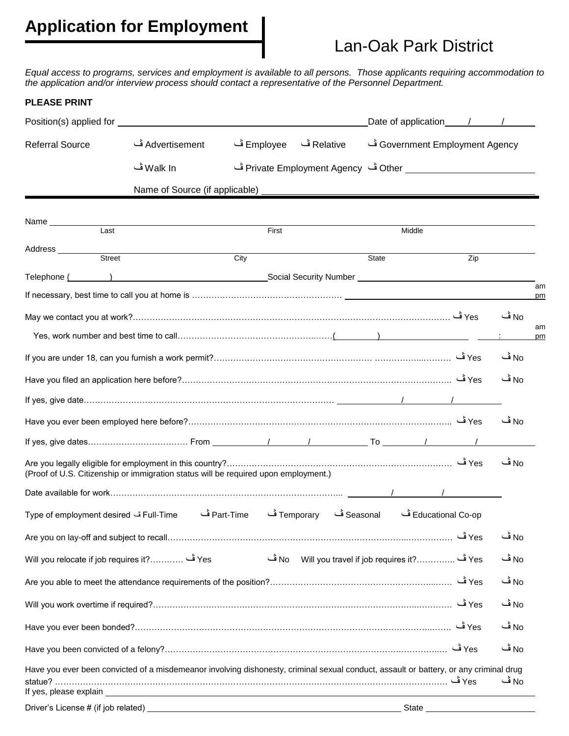# **Application for Employment**

## Lan-Oak Park District

*Equal access to programs, services and employment is available to all persons. Those applicants requiring accommodation to the application and/or interview process should contact a representative of the Personnel Department.*

#### **PLEASE PRINT**

|                                                                                                                                                                                                                                |                 |                                                       |            |       | Date of application 11 1       |          |
|--------------------------------------------------------------------------------------------------------------------------------------------------------------------------------------------------------------------------------|-----------------|-------------------------------------------------------|------------|-------|--------------------------------|----------|
| <b>Referral Source</b>                                                                                                                                                                                                         | Advertisement ڤ | Employee ف                                            | Relative ف |       | Government Employment Agency ف |          |
|                                                                                                                                                                                                                                | Walk In ڤ       |                                                       |            |       |                                |          |
|                                                                                                                                                                                                                                |                 |                                                       |            |       |                                |          |
|                                                                                                                                                                                                                                |                 |                                                       |            |       |                                |          |
| Name<br>Last                                                                                                                                                                                                                   |                 | First                                                 |            |       | Middle                         |          |
| Address ________<br>Street                                                                                                                                                                                                     |                 | City                                                  |            | State | Zip                            |          |
| Telephone ( ) Telephone ( ) and the control of the second Security Number ( ) and the control of the control of the control of the control of the control of the control of the control of the control of the control of the c |                 |                                                       |            |       |                                |          |
|                                                                                                                                                                                                                                |                 |                                                       |            |       |                                | am<br>pm |
|                                                                                                                                                                                                                                |                 |                                                       |            |       |                                | No ڤ     |
|                                                                                                                                                                                                                                |                 |                                                       |            |       |                                | am<br>pm |
|                                                                                                                                                                                                                                |                 |                                                       |            |       |                                | No ڦ     |
|                                                                                                                                                                                                                                |                 |                                                       |            |       |                                | No ڦ     |
|                                                                                                                                                                                                                                |                 |                                                       |            |       |                                |          |
|                                                                                                                                                                                                                                |                 |                                                       |            |       |                                | No قــا  |
|                                                                                                                                                                                                                                |                 |                                                       |            |       |                                |          |
| (Proof of U.S. Citizenship or immigration status will be required upon employment.)                                                                                                                                            |                 |                                                       |            |       |                                | No ڤ     |
|                                                                                                                                                                                                                                |                 |                                                       |            |       |                                |          |
| Full-Time ف Type of employment desired                                                                                                                                                                                         |                 | Educational Co-op ڤ Temporary ڤ Temporary ڤ Part-Time |            |       |                                |          |
|                                                                                                                                                                                                                                |                 |                                                       |            |       | Yes ف                          | No ڦ     |
| Yes ف  ?.Will you relocate if job requires it                                                                                                                                                                                  |                 |                                                       |            |       |                                | No ڤ     |
|                                                                                                                                                                                                                                |                 |                                                       |            |       |                                | No ڤ     |
|                                                                                                                                                                                                                                |                 |                                                       |            |       |                                | No ڤ     |
|                                                                                                                                                                                                                                |                 |                                                       |            |       |                                | No ڤ     |
|                                                                                                                                                                                                                                |                 |                                                       |            |       |                                | No ڤ     |
| Have you ever been convicted of a misdemeanor involving dishonesty, criminal sexual conduct, assault or battery, or any criminal drug                                                                                          |                 |                                                       |            |       |                                |          |
|                                                                                                                                                                                                                                |                 |                                                       |            |       |                                | No ڤ     |
|                                                                                                                                                                                                                                |                 |                                                       |            |       | State                          |          |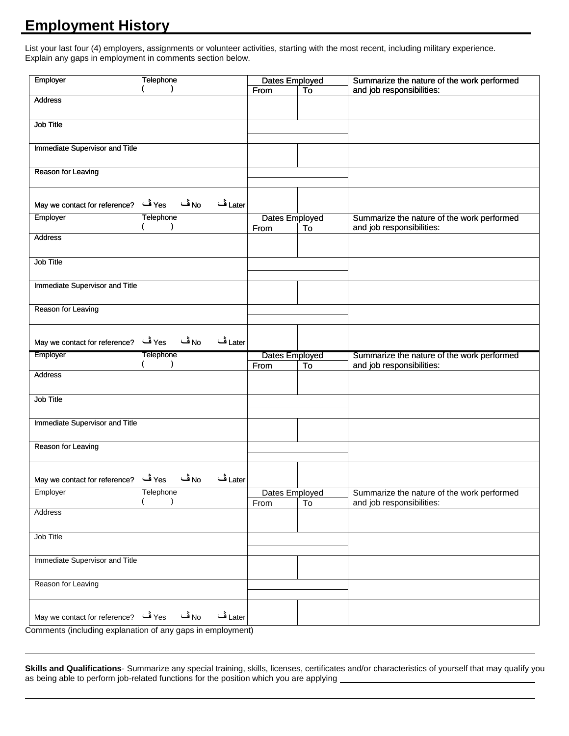## **Employment History**

List your last four (4) employers, assignments or volunteer activities, starting with the most recent, including military experience. Explain any gaps in employment in comments section below.

| Employer                                                 | Telephone                             | Dates Employed |    | Summarize the nature of the work performed |
|----------------------------------------------------------|---------------------------------------|----------------|----|--------------------------------------------|
|                                                          | $\mathcal{L}$                         | From           | To | and job responsibilities:                  |
| <b>Address</b>                                           |                                       |                |    |                                            |
|                                                          |                                       |                |    |                                            |
|                                                          |                                       |                |    |                                            |
| <b>Job Title</b>                                         |                                       |                |    |                                            |
|                                                          |                                       |                |    |                                            |
| Immediate Supervisor and Title                           |                                       |                |    |                                            |
|                                                          |                                       |                |    |                                            |
|                                                          |                                       |                |    |                                            |
| Reason for Leaving                                       |                                       |                |    |                                            |
|                                                          |                                       |                |    |                                            |
|                                                          |                                       |                |    |                                            |
| Yes آف Yes reference?                                    | No ڦ<br>Later ڤ                       |                |    |                                            |
| Employer                                                 | Telephone                             |                |    |                                            |
|                                                          |                                       | Dates Employed |    | Summarize the nature of the work performed |
|                                                          |                                       | From           | To | and job responsibilities:                  |
| <b>Address</b>                                           |                                       |                |    |                                            |
|                                                          |                                       |                |    |                                            |
| Job Title                                                |                                       |                |    |                                            |
|                                                          |                                       |                |    |                                            |
|                                                          |                                       |                |    |                                            |
| <b>Immediate Supervisor and Title</b>                    |                                       |                |    |                                            |
|                                                          |                                       |                |    |                                            |
| Reason for Leaving                                       |                                       |                |    |                                            |
|                                                          |                                       |                |    |                                            |
|                                                          |                                       |                |    |                                            |
|                                                          | $\mathsf{N}_0$ آف<br>Later ڤ<br>Yes ڤ |                |    |                                            |
| May we contact for reference?                            |                                       |                |    |                                            |
|                                                          |                                       |                |    |                                            |
| Employer                                                 | <b>Telephone</b>                      | Dates Employed |    | Summarize the nature of the work performed |
|                                                          | $\lambda$                             | From           | To | and job responsibilities:                  |
| Address                                                  |                                       |                |    |                                            |
|                                                          |                                       |                |    |                                            |
|                                                          |                                       |                |    |                                            |
| Job Title                                                |                                       |                |    |                                            |
|                                                          |                                       |                |    |                                            |
| Immediate Supervisor and Title                           |                                       |                |    |                                            |
|                                                          |                                       |                |    |                                            |
|                                                          |                                       |                |    |                                            |
| Reason for Leaving                                       |                                       |                |    |                                            |
|                                                          |                                       |                |    |                                            |
|                                                          |                                       |                |    |                                            |
| No آف Yes Tes in Terence? Alay we contact for reference? | Later ڦ                               |                |    |                                            |
| Employer                                                 | Telephone                             | Dates Employed |    | Summarize the nature of the work performed |
|                                                          |                                       | From           | To | and job responsibilities:                  |
| Address                                                  |                                       |                |    |                                            |
|                                                          |                                       |                |    |                                            |
|                                                          |                                       |                |    |                                            |
| Job Title                                                |                                       |                |    |                                            |
|                                                          |                                       |                |    |                                            |
| Immediate Supervisor and Title                           |                                       |                |    |                                            |
|                                                          |                                       |                |    |                                            |
|                                                          |                                       |                |    |                                            |
| Reason for Leaving                                       |                                       |                |    |                                            |
|                                                          |                                       |                |    |                                            |
|                                                          |                                       |                |    |                                            |
| No قف Yes فف Yes Pay we contact for reference?           | Later ڤ                               |                |    |                                            |

Comments (including explanation of any gaps in employment)

**Skills and Qualifications**- Summarize any special training, skills, licenses, certificates and/or characteristics of yourself that may qualify you as being able to perform job-related functions for the position which you are applying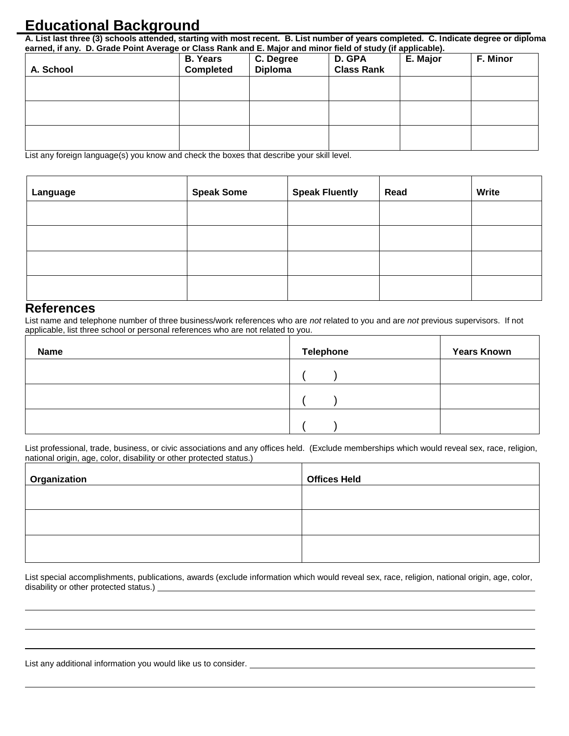### **Educational Background**

**A. List last three (3) schools attended, starting with most recent. B. List number of years completed. C. Indicate degree or diploma earned, if any. D. Grade Point Average or Class Rank and E. Major and minor field of study (if applicable).**

| A. School | <b>B. Years</b><br><b>Completed</b> | C. Degree<br>Diploma | D. GPA<br><b>Class Rank</b> | E. Major | F. Minor |
|-----------|-------------------------------------|----------------------|-----------------------------|----------|----------|
|           |                                     |                      |                             |          |          |
|           |                                     |                      |                             |          |          |
|           |                                     |                      |                             |          |          |

List any foreign language(s) you know and check the boxes that describe your skill level.

| Language | <b>Speak Some</b> | <b>Speak Fluently</b> | Read | Write |
|----------|-------------------|-----------------------|------|-------|
|          |                   |                       |      |       |
|          |                   |                       |      |       |
|          |                   |                       |      |       |
|          |                   |                       |      |       |

#### **References**

List name and telephone number of three business/work references who are *not* related to you and are *not* previous supervisors. If not applicable, list three school or personal references who are not related to you.

| <b>Name</b> | <b>Telephone</b> | <b>Years Known</b> |
|-------------|------------------|--------------------|
|             |                  |                    |
|             |                  |                    |
|             |                  |                    |

List professional, trade, business, or civic associations and any offices held. (Exclude memberships which would reveal sex, race, religion, national origin, age, color, disability or other protected status.)

| Organization | <b>Offices Held</b> |
|--------------|---------------------|
|              |                     |
|              |                     |
|              |                     |
|              |                     |

List special accomplishments, publications, awards (exclude information which would reveal sex, race, religion, national origin, age, color, disability or other protected status.) **Solution** 

List any additional information you would like us to consider. <u>The announ and the set of the set of the set</u>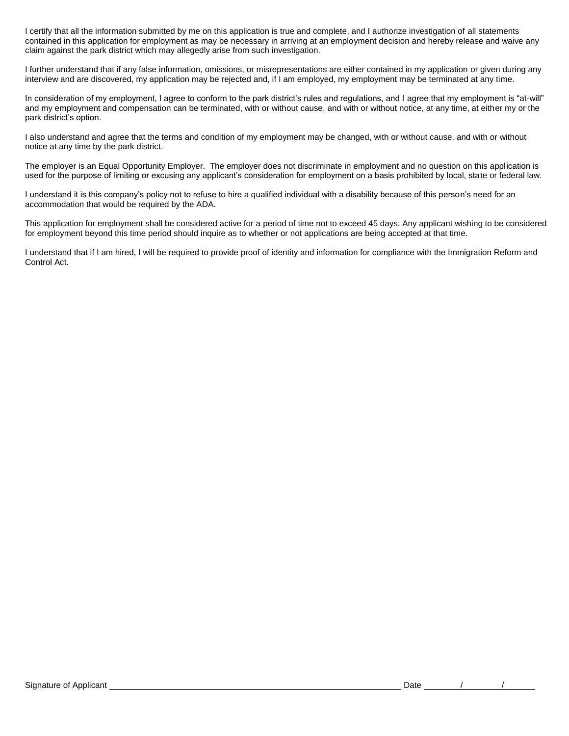I certify that all the information submitted by me on this application is true and complete, and I authorize investigation of all statements contained in this application for employment as may be necessary in arriving at an employment decision and hereby release and waive any claim against the park district which may allegedly arise from such investigation.

I further understand that if any false information, omissions, or misrepresentations are either contained in my application or given during any interview and are discovered, my application may be rejected and, if I am employed, my employment may be terminated at any time.

In consideration of my employment, I agree to conform to the park district's rules and regulations, and I agree that my employment is "at-will" and my employment and compensation can be terminated, with or without cause, and with or without notice, at any time, at either my or the park district's option.

I also understand and agree that the terms and condition of my employment may be changed, with or without cause, and with or without notice at any time by the park district.

The employer is an Equal Opportunity Employer. The employer does not discriminate in employment and no question on this application is used for the purpose of limiting or excusing any applicant's consideration for employment on a basis prohibited by local, state or federal law.

I understand it is this company's policy not to refuse to hire a qualified individual with a disability because of this person's need for an accommodation that would be required by the ADA.

This application for employment shall be considered active for a period of time not to exceed 45 days. Any applicant wishing to be considered for employment beyond this time period should inquire as to whether or not applications are being accepted at that time.

I understand that if I am hired, I will be required to provide proof of identity and information for compliance with the Immigration Reform and Control Act.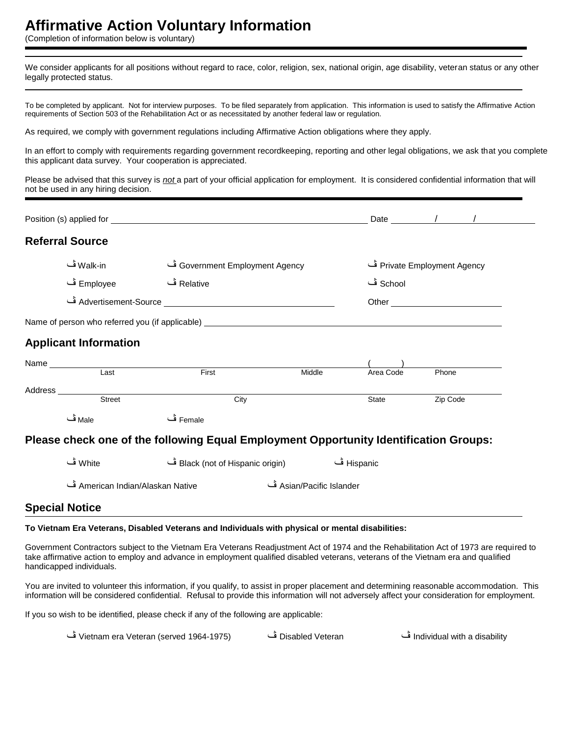#### **Affirmative Action Voluntary Information**

(Completion of information below is voluntary)

We consider applicants for all positions without regard to race, color, religion, sex, national origin, age disability, veteran status or any other legally protected status.

To be completed by applicant. Not for interview purposes. To be filed separately from application. This information is used to satisfy the Affirmative Action requirements of Section 503 of the Rehabilitation Act or as necessitated by another federal law or regulation.

As required, we comply with government regulations including Affirmative Action obligations where they apply.

In an effort to comply with requirements regarding government recordkeeping, reporting and other legal obligations, we ask that you complete this applicant data survey. Your cooperation is appreciated.

Please be advised that this survey is *not* a part of your official application for employment. It is considered confidential information that will not be used in any hiring decision.

|                                     | Position (s) applied for <b>Example 2018</b> 2019 12:00:00 Position 12:00:00 Position 12:00:00 Position 12:00:00 Position 12:00:00 Position 12:00:00 Position 12:00:00 Position 12:00:00 Position 12:00:00 Position 12:00:00 Positi |                          |           | Date $\qquad$ / / /         |  |
|-------------------------------------|-------------------------------------------------------------------------------------------------------------------------------------------------------------------------------------------------------------------------------------|--------------------------|-----------|-----------------------------|--|
| <b>Referral Source</b>              |                                                                                                                                                                                                                                     |                          |           |                             |  |
| Walk-in ڤ                           | Government Employment Agency ڤ                                                                                                                                                                                                      |                          |           | Private Employment Agency ف |  |
| Employee ڤ                          | Relative ڤ                                                                                                                                                                                                                          |                          | School ڦ  |                             |  |
|                                     |                                                                                                                                                                                                                                     |                          |           |                             |  |
|                                     |                                                                                                                                                                                                                                     |                          |           |                             |  |
| <b>Applicant Information</b>        |                                                                                                                                                                                                                                     |                          |           |                             |  |
| Name <u> Last</u>                   |                                                                                                                                                                                                                                     |                          |           |                             |  |
|                                     | First                                                                                                                                                                                                                               | Middle                   | Area Code | Phone                       |  |
| Address _________________<br>Street | City                                                                                                                                                                                                                                |                          | State     | Zip Code                    |  |
| Male ڤ                              | Female ڤ                                                                                                                                                                                                                            |                          |           |                             |  |
|                                     | Please check one of the following Equal Employment Opportunity Identification Groups:                                                                                                                                               |                          |           |                             |  |
| White ڤ                             | Hispanic ڤ Black (not of Hispanic origin)                                                                                                                                                                                           |                          |           |                             |  |
| American Indian/Alaskan Native      |                                                                                                                                                                                                                                     | Asian/Pacific Islander ڤ |           |                             |  |
| <b>Special Notice</b>               |                                                                                                                                                                                                                                     |                          |           |                             |  |

#### **To Vietnam Era Veterans, Disabled Veterans and Individuals with physical or mental disabilities:**

Government Contractors subject to the Vietnam Era Veterans Readjustment Act of 1974 and the Rehabilitation Act of 1973 are required to take affirmative action to employ and advance in employment qualified disabled veterans, veterans of the Vietnam era and qualified handicapped individuals.

You are invited to volunteer this information, if you qualify, to assist in proper placement and determining reasonable accommodation. This information will be considered confidential. Refusal to provide this information will not adversely affect your consideration for employment.

If you so wish to be identified, please check if any of the following are applicable:

| _Vietnam era Veteran (served 1964-1975) ف | Disabled Veteran فَ | Individual with a disability فَ |
|-------------------------------------------|---------------------|---------------------------------|
|-------------------------------------------|---------------------|---------------------------------|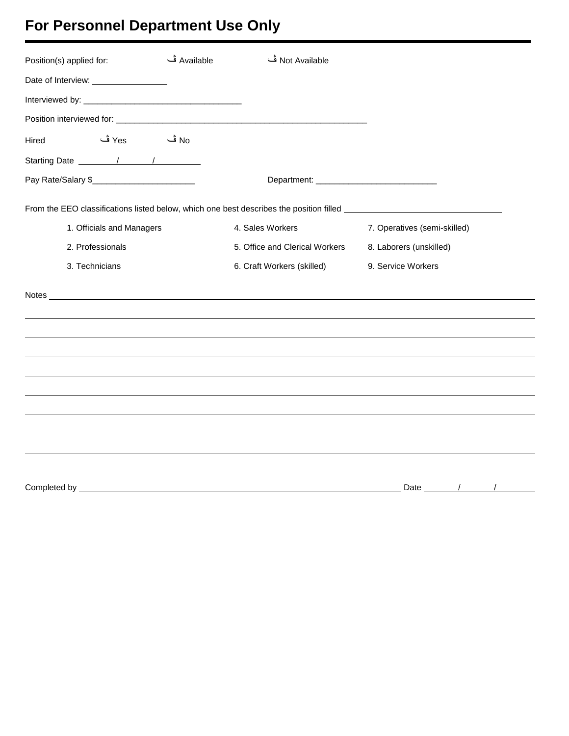# **For Personnel Department Use Only**

| Position(s) applied for:                   | Available ڤ | Not Available ف                |                                                                                                                                                                                        |  |
|--------------------------------------------|-------------|--------------------------------|----------------------------------------------------------------------------------------------------------------------------------------------------------------------------------------|--|
| Date of Interview: <u>________________</u> |             |                                |                                                                                                                                                                                        |  |
|                                            |             |                                |                                                                                                                                                                                        |  |
|                                            |             |                                |                                                                                                                                                                                        |  |
| No <sup>ف</sup> Yes<br>Hired               |             |                                |                                                                                                                                                                                        |  |
|                                            |             |                                |                                                                                                                                                                                        |  |
| Pay Rate/Salary \$                         |             |                                |                                                                                                                                                                                        |  |
|                                            |             |                                | From the EEO classifications listed below, which one best describes the position filled <b>From the EEO</b> classifications listed below, which one best describes the position filled |  |
| 1. Officials and Managers                  |             | 4. Sales Workers               | 7. Operatives (semi-skilled)                                                                                                                                                           |  |
| 2. Professionals                           |             | 5. Office and Clerical Workers | 8. Laborers (unskilled)                                                                                                                                                                |  |
| 3. Technicians                             |             | 6. Craft Workers (skilled)     | 9. Service Workers                                                                                                                                                                     |  |
|                                            |             |                                |                                                                                                                                                                                        |  |
|                                            |             |                                |                                                                                                                                                                                        |  |
|                                            |             |                                |                                                                                                                                                                                        |  |
|                                            |             |                                |                                                                                                                                                                                        |  |
|                                            |             |                                |                                                                                                                                                                                        |  |
|                                            |             |                                |                                                                                                                                                                                        |  |
|                                            |             |                                |                                                                                                                                                                                        |  |
|                                            |             |                                |                                                                                                                                                                                        |  |
|                                            |             |                                |                                                                                                                                                                                        |  |
|                                            |             |                                | Date / /                                                                                                                                                                               |  |